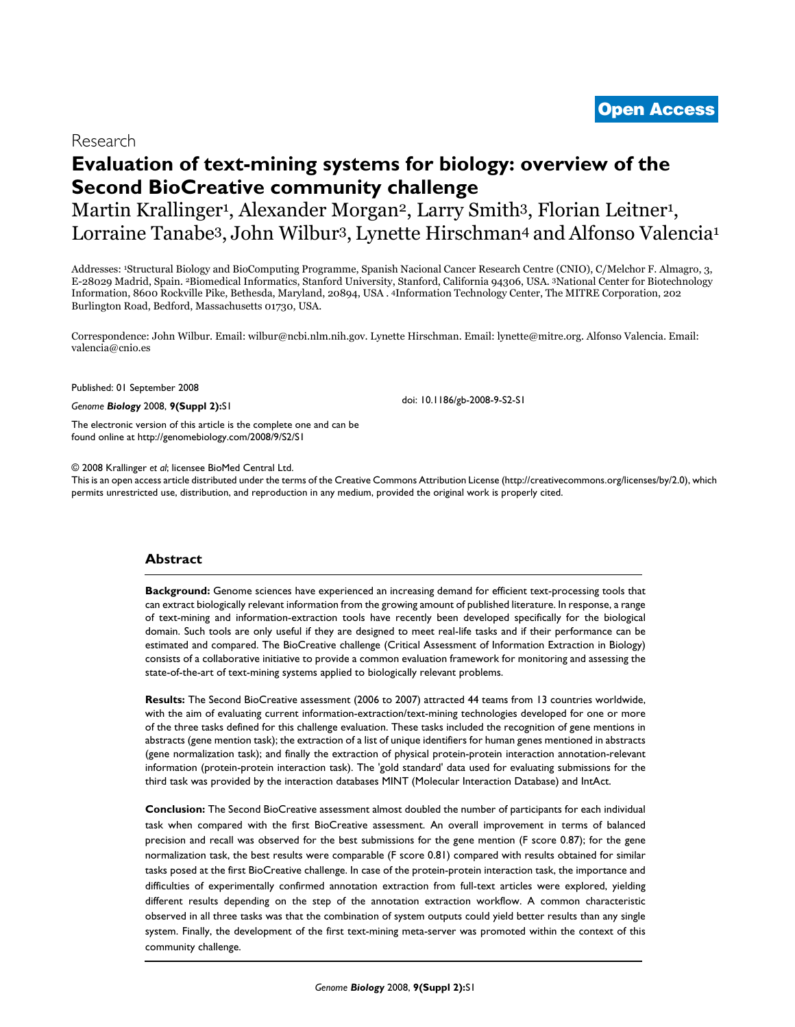Research

# **Evaluation of text-mining systems for biology: overview of the Second BioCreative community challenge**

Martin Krallinger<sup>1</sup>, Alexander Morgan<sup>2</sup>, Larry Smith<sup>3</sup>, Florian Leitner<sup>1</sup>, Lorraine Tanabe3, John Wilbur3, Lynette Hirschman4 and Alfonso Valencia1

Addresses: 1Structural Biology and BioComputing Programme, Spanish Nacional Cancer Research Centre (CNIO), C/Melchor F. Almagro, 3, E-28029 Madrid, Spain. 2Biomedical Informatics, Stanford University, Stanford, California 94306, USA. 3National Center for Biotechnology Information, 8600 Rockville Pike, Bethesda, Maryland, 20894, USA . 4Information Technology Center, The MITRE Corporation, 202 Burlington Road, Bedford, Massachusetts 01730, USA.

Correspondence: John Wilbur. Email: wilbur@ncbi.nlm.nih.gov. Lynette Hirschman. Email: lynette@mitre.org. Alfonso Valencia. Email: valencia@cnio.es

Published: 01 September 2008

*Genome Biology* 2008, **9(Suppl 2):**S1 doi: 10.1186/gb-2008-9-S2-S1

[The electronic version of this article is the complete one and can be](http://genomebiology.com/2008/9/S2/S1)  found online at http://genomebiology.com/2008/9/S2/S1

© 2008 Krallinger *et al*; licensee BioMed Central Ltd.

[This is an open access article distributed under the terms of the Creative Commons Attribution License \(http://creativecommons.org/licenses/by/2.0\), which](http://creativecommons.org/licenses/by/2.0)  permits unrestricted use, distribution, and reproduction in any medium, provided the original work is properly cited.

# **Abstract**

**Background:** Genome sciences have experienced an increasing demand for efficient text-processing tools that can extract biologically relevant information from the growing amount of published literature. In response, a range of text-mining and information-extraction tools have recently been developed specifically for the biological domain. Such tools are only useful if they are designed to meet real-life tasks and if their performance can be estimated and compared. The BioCreative challenge (Critical Assessment of Information Extraction in Biology) consists of a collaborative initiative to provide a common evaluation framework for monitoring and assessing the state-of-the-art of text-mining systems applied to biologically relevant problems.

**Results:** The Second BioCreative assessment (2006 to 2007) attracted 44 teams from 13 countries worldwide, with the aim of evaluating current information-extraction/text-mining technologies developed for one or more of the three tasks defined for this challenge evaluation. These tasks included the recognition of gene mentions in abstracts (gene mention task); the extraction of a list of unique identifiers for human genes mentioned in abstracts (gene normalization task); and finally the extraction of physical protein-protein interaction annotation-relevant information (protein-protein interaction task). The 'gold standard' data used for evaluating submissions for the third task was provided by the interaction databases MINT (Molecular Interaction Database) and IntAct.

**Conclusion:** The Second BioCreative assessment almost doubled the number of participants for each individual task when compared with the first BioCreative assessment. An overall improvement in terms of balanced precision and recall was observed for the best submissions for the gene mention (F score 0.87); for the gene normalization task, the best results were comparable (F score 0.81) compared with results obtained for similar tasks posed at the first BioCreative challenge. In case of the protein-protein interaction task, the importance and difficulties of experimentally confirmed annotation extraction from full-text articles were explored, yielding different results depending on the step of the annotation extraction workflow. A common characteristic observed in all three tasks was that the combination of system outputs could yield better results than any single system. Finally, the development of the first text-mining meta-server was promoted within the context of this community challenge.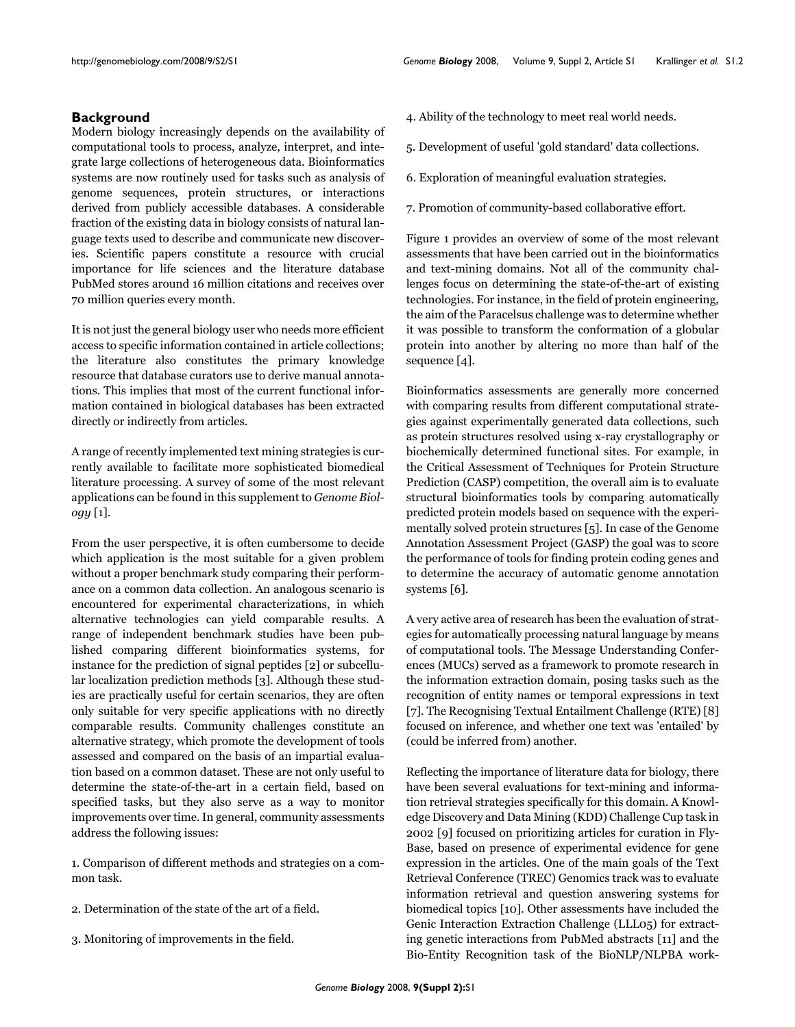# **Background**

Modern biology increasingly depends on the availability of computational tools to process, analyze, interpret, and integrate large collections of heterogeneous data. Bioinformatics systems are now routinely used for tasks such as analysis of genome sequences, protein structures, or interactions derived from publicly accessible databases. A considerable fraction of the existing data in biology consists of natural language texts used to describe and communicate new discoveries. Scientific papers constitute a resource with crucial importance for life sciences and the literature database PubMed stores around 16 million citations and receives over 70 million queries every month.

It is not just the general biology user who needs more efficient access to specific information contained in article collections; the literature also constitutes the primary knowledge resource that database curators use to derive manual annotations. This implies that most of the current functional information contained in biological databases has been extracted directly or indirectly from articles.

A range of recently implemented text mining strategies is currently available to facilitate more sophisticated biomedical literature processing. A survey of some of the most relevant applications can be found in this supplement to *Genome Biology* [1].

From the user perspective, it is often cumbersome to decide which application is the most suitable for a given problem without a proper benchmark study comparing their performance on a common data collection. An analogous scenario is encountered for experimental characterizations, in which alternative technologies can yield comparable results. A range of independent benchmark studies have been published comparing different bioinformatics systems, for instance for the prediction of signal peptides [2] or subcellular localization prediction methods [3]. Although these studies are practically useful for certain scenarios, they are often only suitable for very specific applications with no directly comparable results. Community challenges constitute an alternative strategy, which promote the development of tools assessed and compared on the basis of an impartial evaluation based on a common dataset. These are not only useful to determine the state-of-the-art in a certain field, based on specified tasks, but they also serve as a way to monitor improvements over time. In general, community assessments address the following issues:

1. Comparison of different methods and strategies on a common task.

- 2. Determination of the state of the art of a field.
- 3. Monitoring of improvements in the field.
- 4. Ability of the technology to meet real world needs.
- 5. Development of useful 'gold standard' data collections.
- 6. Exploration of meaningful evaluation strategies.
- 7. Promotion of community-based collaborative effort.

Figure [1](#page-2-0) provides an overview of some of the most relevant assessments that have been carried out in the bioinformatics and text-mining domains. Not all of the community challenges focus on determining the state-of-the-art of existing technologies. For instance, in the field of protein engineering, the aim of the Paracelsus challenge was to determine whether it was possible to transform the conformation of a globular protein into another by altering no more than half of the sequence [4].

Bioinformatics assessments are generally more concerned with comparing results from different computational strategies against experimentally generated data collections, such as protein structures resolved using x-ray crystallography or biochemically determined functional sites. For example, in the Critical Assessment of Techniques for Protein Structure Prediction (CASP) competition, the overall aim is to evaluate structural bioinformatics tools by comparing automatically predicted protein models based on sequence with the experimentally solved protein structures [5]. In case of the Genome Annotation Assessment Project (GASP) the goal was to score the performance of tools for finding protein coding genes and to determine the accuracy of automatic genome annotation systems [6].

A very active area of research has been the evaluation of strategies for automatically processing natural language by means of computational tools. The Message Understanding Conferences (MUCs) served as a framework to promote research in the information extraction domain, posing tasks such as the recognition of entity names or temporal expressions in text [7]. The Recognising Textual Entailment Challenge (RTE) [8] focused on inference, and whether one text was 'entailed' by (could be inferred from) another.

Reflecting the importance of literature data for biology, there have been several evaluations for text-mining and information retrieval strategies specifically for this domain. A Knowledge Discovery and Data Mining (KDD) Challenge Cup task in 2002 [9] focused on prioritizing articles for curation in Fly-Base, based on presence of experimental evidence for gene expression in the articles. One of the main goals of the Text Retrieval Conference (TREC) Genomics track was to evaluate information retrieval and question answering systems for biomedical topics [10]. Other assessments have included the Genic Interaction Extraction Challenge (LLL05) for extracting genetic interactions from PubMed abstracts [11] and the Bio-Entity Recognition task of the BioNLP/NLPBA work-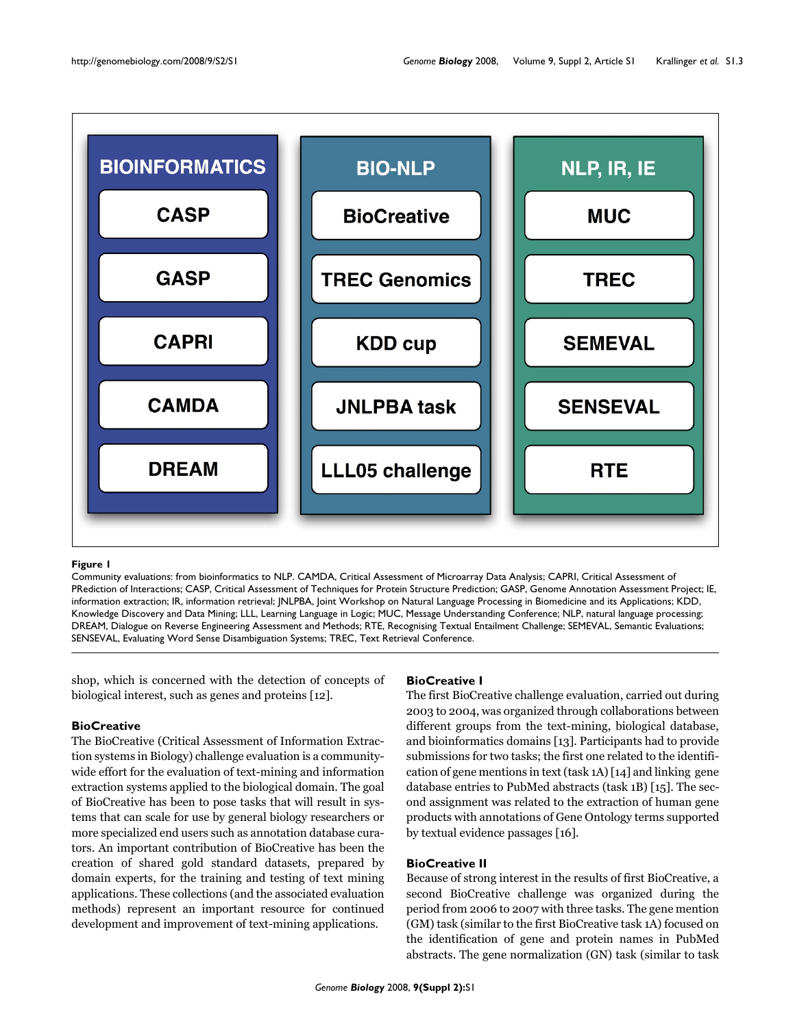<span id="page-2-0"></span>

#### Figure 1

Community evaluations: from bioinformatics to NLP. CAMDA, Critical Assessment of Microarray Data Analysis; CAPRI, Critical Assessment of PRediction of Interactions; CASP, Critical Assessment of Techniques for Protein Structure Prediction; GASP, Genome Annotation Assessment Project; IE, information extraction; IR, information retrieval; JNLPBA, Joint Workshop on Natural Language Processing in Biomedicine and its Applications; KDD, Knowledge Discovery and Data Mining; LLL, Learning Language in Logic; MUC, Message Understanding Conference; NLP, natural language processing; DREAM, Dialogue on Reverse Engineering Assessment and Methods; RTE, Recognising Textual Entailment Challenge; SEMEVAL, Semantic Evaluations; SENSEVAL, Evaluating Word Sense Disambiguation Systems; TREC, Text Retrieval Conference.

shop, which is concerned with the detection of concepts of biological interest, such as genes and proteins [12].

## **BioCreative**

The BioCreative (Critical Assessment of Information Extraction systems in Biology) challenge evaluation is a communitywide effort for the evaluation of text-mining and information extraction systems applied to the biological domain. The goal of BioCreative has been to pose tasks that will result in systems that can scale for use by general biology researchers or more specialized end users such as annotation database curators. An important contribution of BioCreative has been the creation of shared gold standard datasets, prepared by domain experts, for the training and testing of text mining applications. These collections (and the associated evaluation methods) represent an important resource for continued development and improvement of text-mining applications.

## **BioCreative I**

The first BioCreative challenge evaluation, carried out during 2003 to 2004, was organized through collaborations between different groups from the text-mining, biological database, and bioinformatics domains [13]. Participants had to provide submissions for two tasks; the first one related to the identification of gene mentions in text (task 1A) [14] and linking gene database entries to PubMed abstracts (task 1B) [15]. The second assignment was related to the extraction of human gene products with annotations of Gene Ontology terms supported by textual evidence passages [16].

## **BioCreative II**

Because of strong interest in the results of first BioCreative, a second BioCreative challenge was organized during the period from 2006 to 2007 with three tasks. The gene mention (GM) task (similar to the first BioCreative task 1A) focused on the identification of gene and protein names in PubMed abstracts. The gene normalization (GN) task (similar to task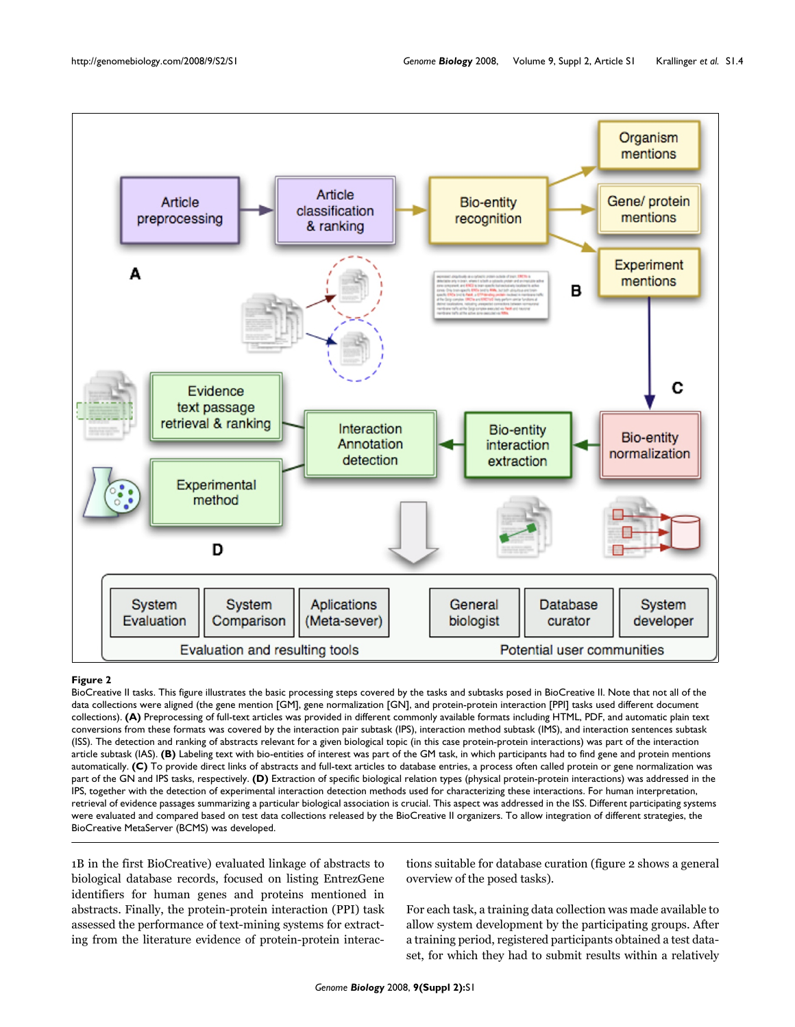

#### **Figure 2**

BioCreative II tasks. This figure illustrates the basic processing steps covered by the tasks and subtasks posed in BioCreative II. Note that not all of the data collections were aligned (the gene mention [GM], gene normalization [GN], and protein-protein interaction [PPI] tasks used different document collections). **(A)** Preprocessing of full-text articles was provided in different commonly available formats including HTML, PDF, and automatic plain text conversions from these formats was covered by the interaction pair subtask (IPS), interaction method subtask (IMS), and interaction sentences subtask (ISS). The detection and ranking of abstracts relevant for a given biological topic (in this case protein-protein interactions) was part of the interaction article subtask (IAS). **(B)** Labeling text with bio-entities of interest was part of the GM task, in which participants had to find gene and protein mentions automatically. **(C)** To provide direct links of abstracts and full-text articles to database entries, a process often called protein or gene normalization was part of the GN and IPS tasks, respectively. **(D)** Extraction of specific biological relation types (physical protein-protein interactions) was addressed in the IPS, together with the detection of experimental interaction detection methods used for characterizing these interactions. For human interpretation, retrieval of evidence passages summarizing a particular biological association is crucial. This aspect was addressed in the ISS. Different participating systems were evaluated and compared based on test data collections released by the BioCreative II organizers. To allow integration of different strategies, the BioCreative MetaServer (BCMS) was developed.

1B in the first BioCreative) evaluated linkage of abstracts to biological database records, focused on listing EntrezGene identifiers for human genes and proteins mentioned in abstracts. Finally, the protein-protein interaction (PPI) task assessed the performance of text-mining systems for extracting from the literature evidence of protein-protein interactions suitable for database curation (figure 2 shows a general overview of the posed tasks).

For each task, a training data collection was made available to [allow system development by the participating groups. After](http://bcms.bioinfo.cnio.es) a training period, registered participants obtained a test data[set, for which they had to submit results within a relatively](http://bcms.bioinfo.cnio.es)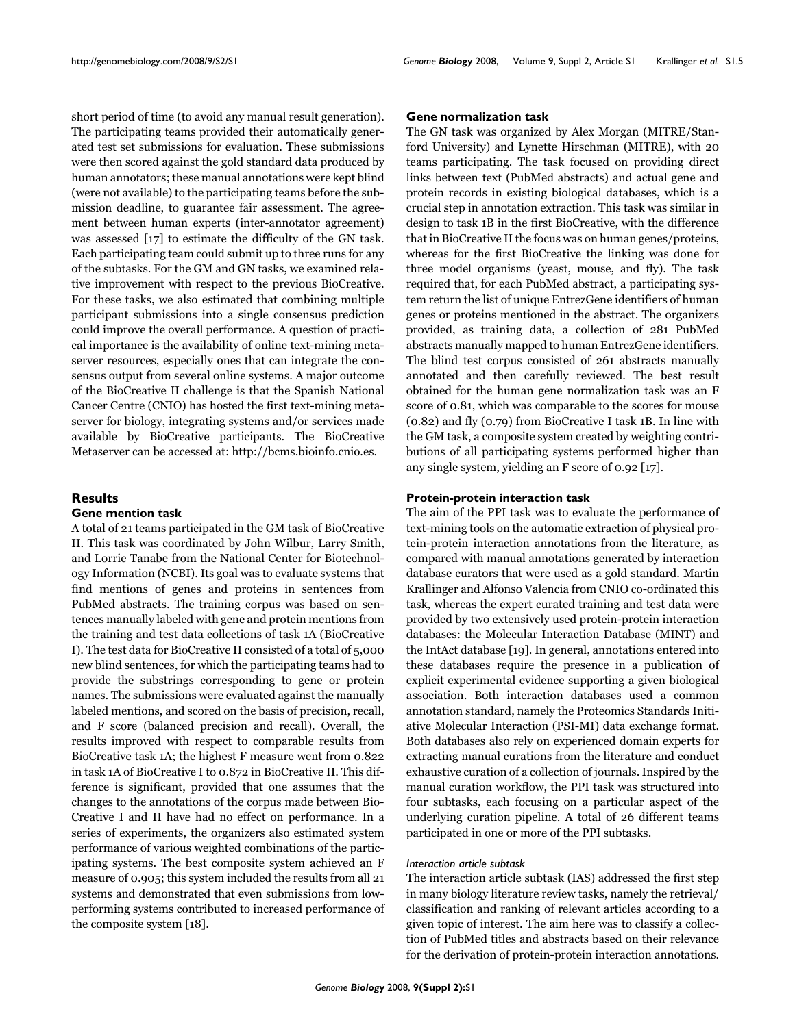[short period of time \(to avoid any manual result generation\).](http://bcms.bioinfo.cnio.es) The participating teams provided their automatically generated test set submissions for evaluation. These submissions were then scored against the gold standard data produced by human annotators; these manual annotations were kept blind (were not available) to the participating teams before the submission deadline, to guarantee fair assessment. The agreement between human experts (inter-annotator agreement) was assessed [17] to estimate the difficulty of the GN task. Each participating team could submit up to three runs for any of the subtasks. For the GM and GN tasks, we examined relative improvement with respect to the previous BioCreative. For these tasks, we also estimated that combining multiple participant submissions into a single consensus prediction could improve the overall performance. A question of practical importance is the availability of online text-mining metaserver resources, especially ones that can integrate the consensus output from several online systems. A major outcome of the BioCreative II challenge is that the Spanish National Cancer Centre (CNIO) has hosted the first text-mining metaserver for biology, integrating systems and/or services made available by BioCreative participants. The BioCreative Metaserver can be accessed at: http://bcms.bioinfo.cnio.es.

# **Results**

## **Gene mention task**

A total of 21 teams participated in the GM task of BioCreative II. This task was coordinated by John Wilbur, Larry Smith, and Lorrie Tanabe from the National Center for Biotechnology Information (NCBI). Its goal was to evaluate systems that find mentions of genes and proteins in sentences from PubMed abstracts. The training corpus was based on sentences manually labeled with gene and protein mentions from the training and test data collections of task 1A (BioCreative I). The test data for BioCreative II consisted of a total of 5,000 new blind sentences, for which the participating teams had to provide the substrings corresponding to gene or protein names. The submissions were evaluated against the manually labeled mentions, and scored on the basis of precision, recall, and F score (balanced precision and recall). Overall, the results improved with respect to comparable results from BioCreative task 1A; the highest F measure went from 0.822 in task 1A of BioCreative I to 0.872 in BioCreative II. This difference is significant, provided that one assumes that the changes to the annotations of the corpus made between Bio-Creative I and II have had no effect on performance. In a series of experiments, the organizers also estimated system performance of various weighted combinations of the participating systems. The best composite system achieved an F measure of 0.905; this system included the results from all 21 systems and demonstrated that even submissions from lowperforming systems contributed to increased performance of the composite system [18].

#### **Gene normalization task**

The GN task was organized by Alex Morgan (MITRE/Stanford University) and Lynette Hirschman (MITRE), with 20 teams participating. The task focused on providing direct links between text (PubMed abstracts) and actual gene and protein records in existing biological databases, which is a crucial step in annotation extraction. This task was similar in design to task 1B in the first BioCreative, with the difference that in BioCreative II the focus was on human genes/proteins, whereas for the first BioCreative the linking was done for three model organisms (yeast, mouse, and fly). The task required that, for each PubMed abstract, a participating system return the list of unique EntrezGene identifiers of human genes or proteins mentioned in the abstract. The organizers provided, as training data, a collection of 281 PubMed abstracts manually mapped to human EntrezGene identifiers. The blind test corpus consisted of 261 abstracts manually annotated and then carefully reviewed. The best result obtained for the human gene normalization task was an F score of 0.81, which was comparable to the scores for mouse (0.82) and fly (0.79) from BioCreative I task 1B. In line with the GM task, a composite system created by weighting contributions of all participating systems performed higher than any single system, yielding an F score of 0.92 [17].

#### **Protein-protein interaction task**

The aim of the PPI task was to evaluate the performance of text-mining tools on the automatic extraction of physical protein-protein interaction annotations from the literature, as compared with manual annotations generated by interaction database curators that were used as a gold standard. Martin Krallinger and Alfonso Valencia from CNIO co-ordinated this task, whereas the expert curated training and test data were provided by two extensively used protein-protein interaction databases: the Molecular Interaction Database (MINT) and the IntAct database [19]. In general, annotations entered into these databases require the presence in a publication of explicit experimental evidence supporting a given biological association. Both interaction databases used a common annotation standard, namely the Proteomics Standards Initiative Molecular Interaction (PSI-MI) data exchange format. Both databases also rely on experienced domain experts for extracting manual curations from the literature and conduct exhaustive curation of a collection of journals. Inspired by the manual curation workflow, the PPI task was structured into four subtasks, each focusing on a particular aspect of the underlying curation pipeline. A total of 26 different teams participated in one or more of the PPI subtasks.

#### *Interaction article subtask*

The interaction article subtask (IAS) addressed the first step in many biology literature review tasks, namely the retrieval/ classification and ranking of relevant articles according to a given topic of interest. The aim here was to classify a collection of PubMed titles and abstracts based on their relevance for the derivation of protein-protein interaction annotations.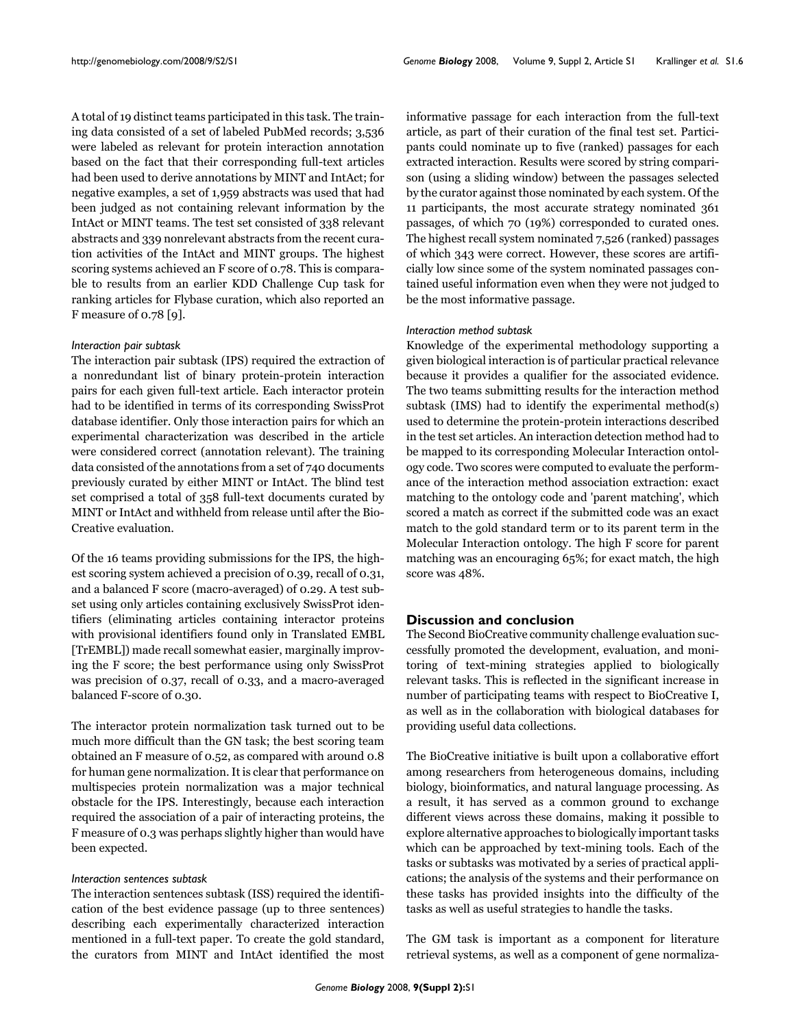A total of 19 distinct teams participated in this task. The training data consisted of a set of labeled PubMed records; 3,536 were labeled as relevant for protein interaction annotation based on the fact that their corresponding full-text articles had been used to derive annotations by MINT and IntAct; for negative examples, a set of 1,959 abstracts was used that had been judged as not containing relevant information by the IntAct or MINT teams. The test set consisted of 338 relevant abstracts and 339 nonrelevant abstracts from the recent curation activities of the IntAct and MINT groups. The highest scoring systems achieved an F score of 0.78. This is comparable to results from an earlier KDD Challenge Cup task for ranking articles for Flybase curation, which also reported an F measure of 0.78 [9].

#### *Interaction pair subtask*

The interaction pair subtask (IPS) required the extraction of a nonredundant list of binary protein-protein interaction pairs for each given full-text article. Each interactor protein had to be identified in terms of its corresponding SwissProt database identifier. Only those interaction pairs for which an experimental characterization was described in the article were considered correct (annotation relevant). The training data consisted of the annotations from a set of 740 documents previously curated by either MINT or IntAct. The blind test set comprised a total of 358 full-text documents curated by MINT or IntAct and withheld from release until after the Bio-Creative evaluation.

Of the 16 teams providing submissions for the IPS, the highest scoring system achieved a precision of 0.39, recall of 0.31, and a balanced F score (macro-averaged) of 0.29. A test subset using only articles containing exclusively SwissProt identifiers (eliminating articles containing interactor proteins with provisional identifiers found only in Translated EMBL [TrEMBL]) made recall somewhat easier, marginally improving the F score; the best performance using only SwissProt was precision of 0.37, recall of 0.33, and a macro-averaged balanced F-score of 0.30.

The interactor protein normalization task turned out to be much more difficult than the GN task; the best scoring team obtained an F measure of 0.52, as compared with around 0.8 for human gene normalization. It is clear that performance on multispecies protein normalization was a major technical obstacle for the IPS. Interestingly, because each interaction required the association of a pair of interacting proteins, the F measure of 0.3 was perhaps slightly higher than would have been expected.

#### *Interaction sentences subtask*

The interaction sentences subtask (ISS) required the identification of the best evidence passage (up to three sentences) describing each experimentally characterized interaction mentioned in a full-text paper. To create the gold standard, the curators from MINT and IntAct identified the most informative passage for each interaction from the full-text article, as part of their curation of the final test set. Participants could nominate up to five (ranked) passages for each extracted interaction. Results were scored by string comparison (using a sliding window) between the passages selected by the curator against those nominated by each system. Of the 11 participants, the most accurate strategy nominated 361 passages, of which 70 (19%) corresponded to curated ones. The highest recall system nominated 7,526 (ranked) passages of which 343 were correct. However, these scores are artificially low since some of the system nominated passages contained useful information even when they were not judged to be the most informative passage.

#### *Interaction method subtask*

Knowledge of the experimental methodology supporting a given biological interaction is of particular practical relevance because it provides a qualifier for the associated evidence. The two teams submitting results for the interaction method subtask (IMS) had to identify the experimental method(s) used to determine the protein-protein interactions described in the test set articles. An interaction detection method had to be mapped to its corresponding Molecular Interaction ontology code. Two scores were computed to evaluate the performance of the interaction method association extraction: exact matching to the ontology code and 'parent matching', which scored a match as correct if the submitted code was an exact match to the gold standard term or to its parent term in the Molecular Interaction ontology. The high F score for parent matching was an encouraging 65%; for exact match, the high score was 48%.

## **Discussion and conclusion**

The Second BioCreative community challenge evaluation successfully promoted the development, evaluation, and monitoring of text-mining strategies applied to biologically relevant tasks. This is reflected in the significant increase in number of participating teams with respect to BioCreative I, as well as in the collaboration with biological databases for providing useful data collections.

The BioCreative initiative is built upon a collaborative effort among researchers from heterogeneous domains, including biology, bioinformatics, and natural language processing. As a result, it has served as a common ground to exchange different views across these domains, making it possible to explore alternative approaches to biologically important tasks which can be approached by text-mining tools. Each of the tasks or subtasks was motivated by a series of practical applications; the analysis of the systems and their performance on these tasks has provided insights into the difficulty of the tasks as well as useful strategies to handle the tasks.

The GM task is important as a component for literature retrieval systems, as well as a component of gene normaliza-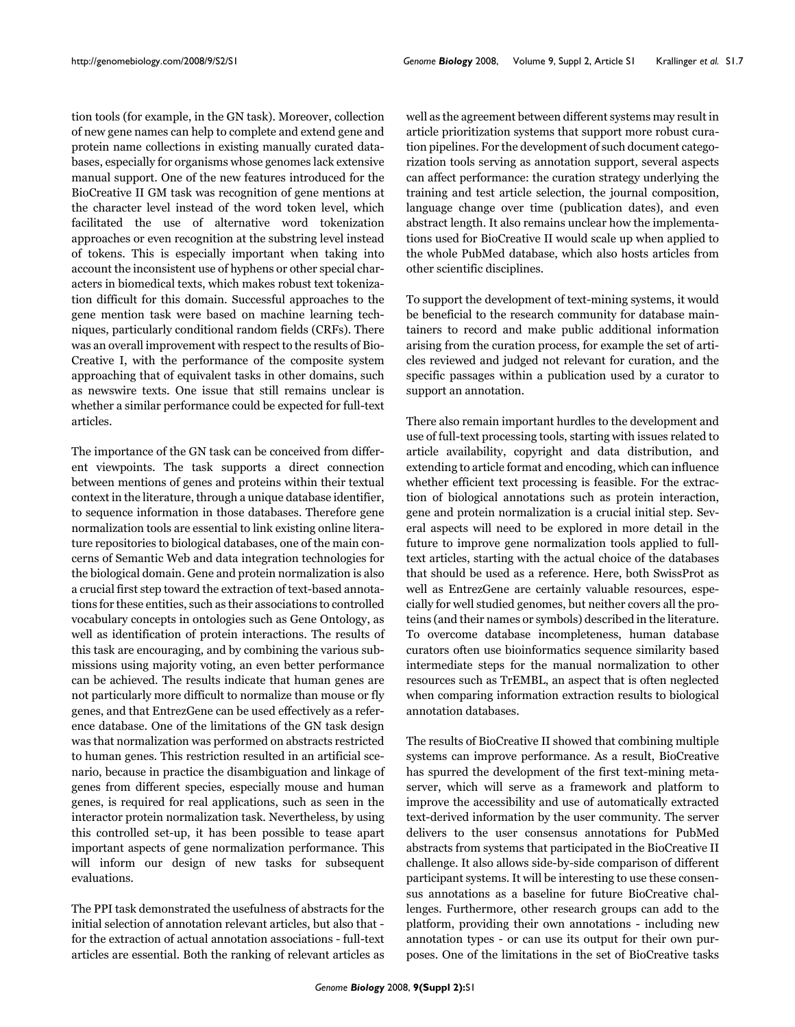tion tools (for example, in the GN task). Moreover, collection of new gene names can help to complete and extend gene and protein name collections in existing manually curated databases, especially for organisms whose genomes lack extensive manual support. One of the new features introduced for the BioCreative II GM task was recognition of gene mentions at the character level instead of the word token level, which facilitated the use of alternative word tokenization approaches or even recognition at the substring level instead of tokens. This is especially important when taking into account the inconsistent use of hyphens or other special characters in biomedical texts, which makes robust text tokenization difficult for this domain. Successful approaches to the gene mention task were based on machine learning techniques, particularly conditional random fields (CRFs). There was an overall improvement with respect to the results of Bio-Creative I, with the performance of the composite system approaching that of equivalent tasks in other domains, such as newswire texts. One issue that still remains unclear is whether a similar performance could be expected for full-text articles.

The importance of the GN task can be conceived from different viewpoints. The task supports a direct connection between mentions of genes and proteins within their textual context in the literature, through a unique database identifier, to sequence information in those databases. Therefore gene normalization tools are essential to link existing online literature repositories to biological databases, one of the main concerns of Semantic Web and data integration technologies for the biological domain. Gene and protein normalization is also a crucial first step toward the extraction of text-based annotations for these entities, such as their associations to controlled vocabulary concepts in ontologies such as Gene Ontology, as well as identification of protein interactions. The results of this task are encouraging, and by combining the various submissions using majority voting, an even better performance can be achieved. The results indicate that human genes are not particularly more difficult to normalize than mouse or fly genes, and that EntrezGene can be used effectively as a reference database. One of the limitations of the GN task design was that normalization was performed on abstracts restricted to human genes. This restriction resulted in an artificial scenario, because in practice the disambiguation and linkage of genes from different species, especially mouse and human genes, is required for real applications, such as seen in the interactor protein normalization task. Nevertheless, by using this controlled set-up, it has been possible to tease apart important aspects of gene normalization performance. This will inform our design of new tasks for subsequent evaluations.

The PPI task demonstrated the usefulness of abstracts for the initial selection of annotation relevant articles, but also that for the extraction of actual annotation associations - full-text articles are essential. Both the ranking of relevant articles as

well as the agreement between different systems may result in article prioritization systems that support more robust curation pipelines. For the development of such document categorization tools serving as annotation support, several aspects can affect performance: the curation strategy underlying the training and test article selection, the journal composition, language change over time (publication dates), and even abstract length. It also remains unclear how the implementations used for BioCreative II would scale up when applied to the whole PubMed database, which also hosts articles from other scientific disciplines.

To support the development of text-mining systems, it would be beneficial to the research community for database maintainers to record and make public additional information arising from the curation process, for example the set of articles reviewed and judged not relevant for curation, and the specific passages within a publication used by a curator to support an annotation.

There also remain important hurdles to the development and use of full-text processing tools, starting with issues related to article availability, copyright and data distribution, and extending to article format and encoding, which can influence whether efficient text processing is feasible. For the extraction of biological annotations such as protein interaction, gene and protein normalization is a crucial initial step. Several aspects will need to be explored in more detail in the future to improve gene normalization tools applied to fulltext articles, starting with the actual choice of the databases that should be used as a reference. Here, both SwissProt as well as EntrezGene are certainly valuable resources, especially for well studied genomes, but neither covers all the proteins (and their names or symbols) described in the literature. To overcome database incompleteness, human database curators often use bioinformatics sequence similarity based intermediate steps for the manual normalization to other resources such as TrEMBL, an aspect that is often neglected when comparing information extraction results to biological annotation databases.

The results of BioCreative II showed that combining multiple systems can improve performance. As a result, BioCreative has spurred the development of the first text-mining metaserver, which will serve as a framework and platform to improve the accessibility and use of automatically extracted text-derived information by the user community. The server delivers to the user consensus annotations for PubMed abstracts from systems that participated in the BioCreative II challenge. It also allows side-by-side comparison of different participant systems. It will be interesting to use these consensus annotations as a baseline for future BioCreative challenges. Furthermore, other research groups can add to the platform, providing their own annotations - including new annotation types - or can use its output for their own purposes. One of the limitations in the set of BioCreative tasks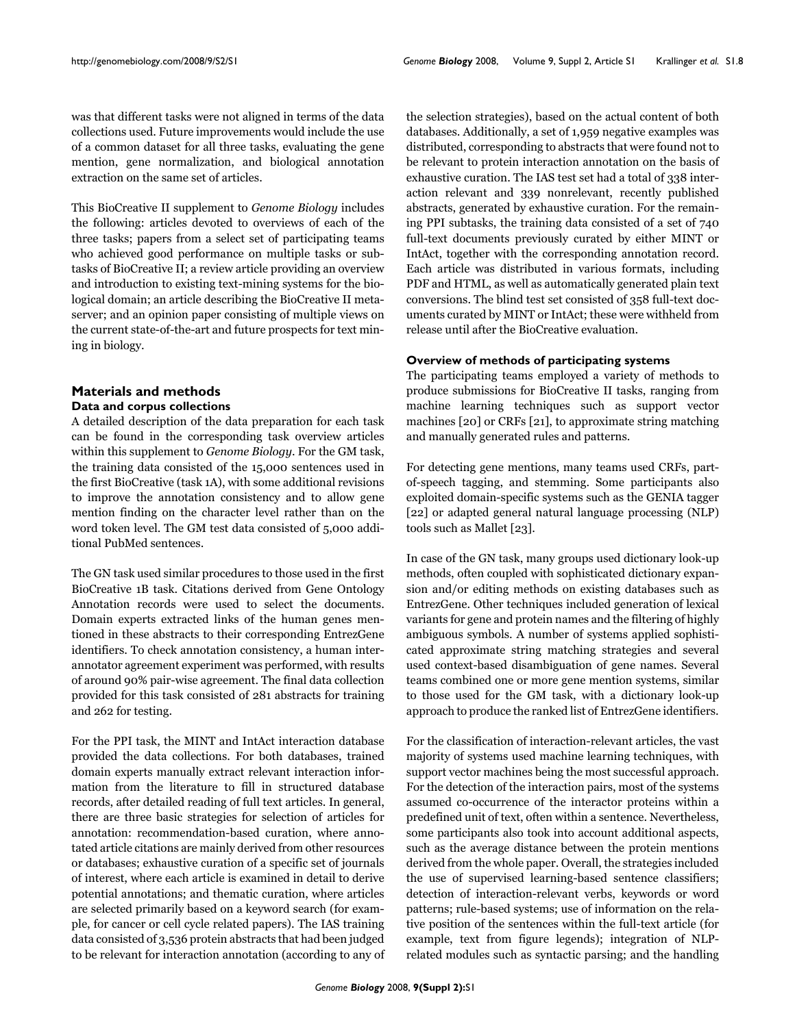was that different tasks were not aligned in terms of the data collections used. Future improvements would include the use of a common dataset for all three tasks, evaluating the gene mention, gene normalization, and biological annotation extraction on the same set of articles.

This BioCreative II supplement to *Genome Biology* includes the following: articles devoted to overviews of each of the three tasks; papers from a select set of participating teams who achieved good performance on multiple tasks or subtasks of BioCreative II; a review article providing an overview and introduction to existing text-mining systems for the biological domain; an article describing the BioCreative II metaserver; and an opinion paper consisting of multiple views on the current state-of-the-art and future prospects for text mining in biology.

## **Materials and methods Data and corpus collections**

A detailed description of the data preparation for each task can be found in the corresponding task overview articles within this supplement to *Genome Biology*. For the GM task, the training data consisted of the 15,000 sentences used in the first BioCreative (task 1A), with some additional revisions to improve the annotation consistency and to allow gene mention finding on the character level rather than on the word token level. The GM test data consisted of 5,000 additional PubMed sentences.

The GN task used similar procedures to those used in the first BioCreative 1B task. Citations derived from Gene Ontology Annotation records were used to select the documents. Domain experts extracted links of the human genes mentioned in these abstracts to their corresponding EntrezGene identifiers. To check annotation consistency, a human interannotator agreement experiment was performed, with results of around 90% pair-wise agreement. The final data collection provided for this task consisted of 281 abstracts for training and 262 for testing.

For the PPI task, the MINT and IntAct interaction database provided the data collections. For both databases, trained domain experts manually extract relevant interaction information from the literature to fill in structured database records, after detailed reading of full text articles. In general, there are three basic strategies for selection of articles for annotation: recommendation-based curation, where annotated article citations are mainly derived from other resources or databases; exhaustive curation of a specific set of journals of interest, where each article is examined in detail to derive potential annotations; and thematic curation, where articles are selected primarily based on a keyword search (for example, for cancer or cell cycle related papers). The IAS training data consisted of 3,536 protein abstracts that had been judged to be relevant for interaction annotation (according to any of the selection strategies), based on the actual content of both databases. Additionally, a set of 1,959 negative examples was distributed, corresponding to abstracts that were found not to be relevant to protein interaction annotation on the basis of exhaustive curation. The IAS test set had a total of 338 interaction relevant and 339 nonrelevant, recently published abstracts, generated by exhaustive curation. For the remaining PPI subtasks, the training data consisted of a set of 740 full-text documents previously curated by either MINT or IntAct, together with the corresponding annotation record. Each article was distributed in various formats, including PDF and HTML, as well as automatically generated plain text conversions. The blind test set consisted of 358 full-text documents curated by MINT or IntAct; these were withheld from release until after the BioCreative evaluation.

# **Overview of methods of participating systems**

The participating teams employed a variety of methods to produce submissions for BioCreative II tasks, ranging from machine learning techniques such as support vector machines [20] or CRFs [21], to approximate string matching and manually generated rules and patterns.

For detecting gene mentions, many teams used CRFs, partof-speech tagging, and stemming. Some participants also exploited domain-specific systems such as the GENIA tagger [22] or adapted general natural language processing (NLP) tools such as Mallet [23].

In case of the GN task, many groups used dictionary look-up methods, often coupled with sophisticated dictionary expansion and/or editing methods on existing databases such as EntrezGene. Other techniques included generation of lexical variants for gene and protein names and the filtering of highly ambiguous symbols. A number of systems applied sophisticated approximate string matching strategies and several used context-based disambiguation of gene names. Several teams combined one or more gene mention systems, similar to those used for the GM task, with a dictionary look-up approach to produce the ranked list of EntrezGene identifiers.

For the classification of interaction-relevant articles, the vast majority of systems used machine learning techniques, with support vector machines being the most successful approach. For the detection of the interaction pairs, most of the systems assumed co-occurrence of the interactor proteins within a predefined unit of text, often within a sentence. Nevertheless, some participants also took into account additional aspects, such as the average distance between the protein mentions derived from the whole paper. Overall, the strategies included the use of supervised learning-based sentence classifiers; detection of interaction-relevant verbs, keywords or word patterns; rule-based systems; use of information on the relative position of the sentences within the full-text article (for example, text from figure legends); integration of NLPrelated modules such as syntactic parsing; and the handling